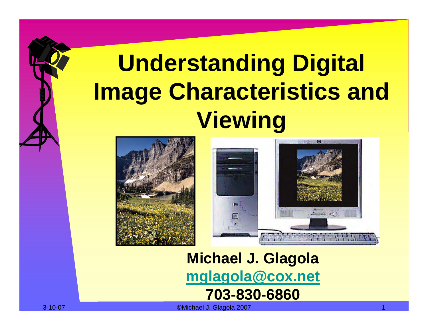# **Understanding Digital Image Characteristics and Viewing**





**Michael J. Glagola [mglagola@cox.net](mailto:mglagola@cox.net) 703-830-6860**

3-10-07 ©Michael J. Glagola 2007 1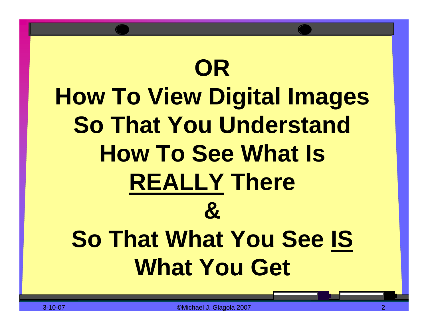# **OR How To View Digital Images So That You Understand How To See What Is REALLY There & So That What You See IS What You Get**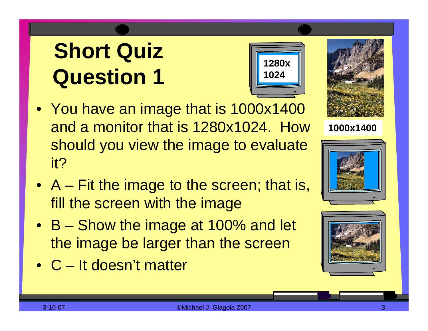- You have an image that is 1000x1400 and a monitor that is 1280x1024. How should you view the image to evaluate it?
- A Fit the image to the screen; that is, fill the screen with the image
- B Show the image at 100% and let the image be larger than the screen
- •C It doesn't matter





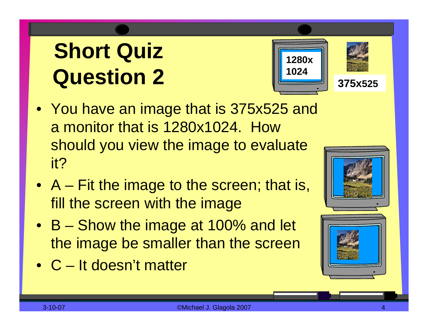



**375x525**

- You have an image that is 375x525 and a monitor that is 1280x1024. How should you view the image to evaluate it?
- A Fit the image to the screen; that is, fill the screen with the image
- B Show the image at 100% and let the image be smaller than the screen
- •C It doesn't matter

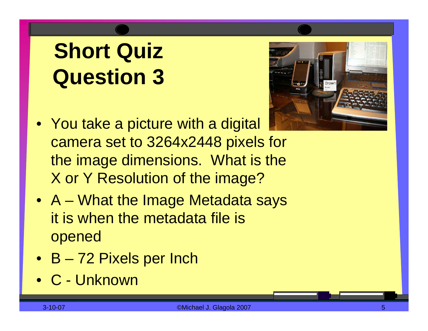

- You take a picture with a digital camera set to 3264x2448 pixels for the image dimensions. What is the X or Y Resolution of the image?
- A What the Image Metadata says it is when the metadata file is opened
- B 72 Pixels per Inch
- •C Unknown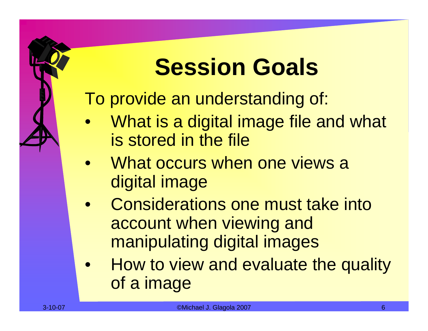## **Session Goals**

To provide an understanding of:

- $\bullet$ What is a digital image file and what is stored in the file
- $\bullet$ What occurs when one views a digital image
- $\bullet$ Considerations one must take into account when viewing and manipulating digital images
- $\bullet$ How to view and evaluate the quality of a image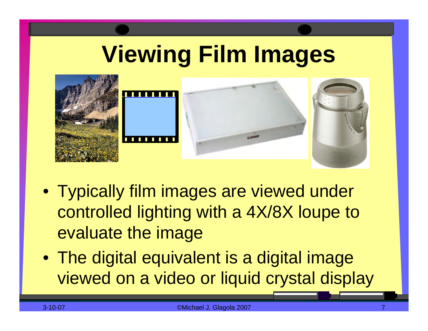## **Viewing Film Images**



- Typically film images are viewed under controlled lighting with a 4X/8X loupe to evaluate the image
- The digital equivalent is a digital image viewed on a video or liquid crystal display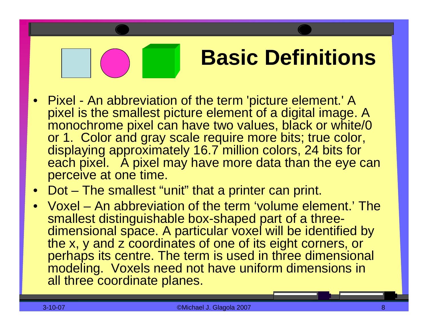### **Basic Definitions**

- Pixel An abbreviation of the term 'picture element.' A pixel is the smallest picture element of a digital image. A monochrome pixel can have two values, black or white/0 or 1. Color and gray scale require more bits; true color, displaying approximately 16.7 million colors, 24 bits for each pixel. A pixel may have more data than the eye can perceive at one time.
- Dot The smallest "unit" that a printer can print.
- Voxel –An abbreviation of the term 'volume element.' The smallest distinguishable box-shaped part of a threedimensional space. A particular voxel will be identified by the x, y and z coordinates of one of its eight corners, or perhaps its centre. The term is used in three dimensional modeling. Voxels need not have uniform dimensions in all three coordinate planes.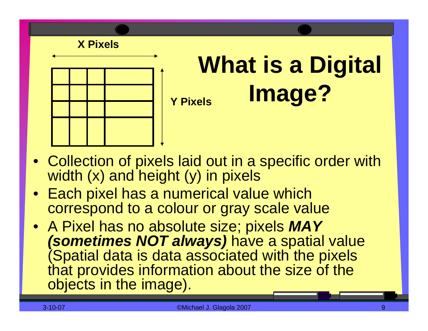

### **What is a Digital Image? Y Pixels**

- Collection of pixels laid out in a specific order with width (x) and height (y) in pixels
- Each pixel has a numerical value which correspond to a colour or gray scale value
- A Pixel has no absolute size; pixels *MAY (sometimes NOT always)* have a spatial value (Spatial data is data associated with the pixels that provides information about the size of the objects in the image).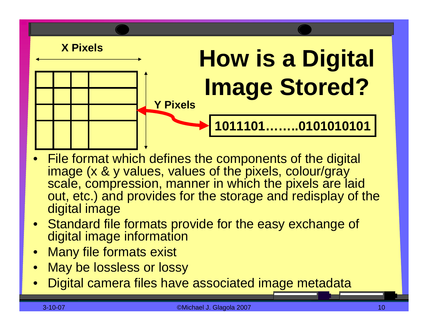

- •File format which defines the components of the digital image (x & y values, values of the pixels, colour/gray scale, compression, manner in which the pixels are laid out, etc.) and provides for the storage and redisplay of the digital image
- Standard file formats provide for the easy exchange of digital image information
- Many file formats exist
- •May be lossless or lossy
- $\bullet$ Digital camera files have associated image metadata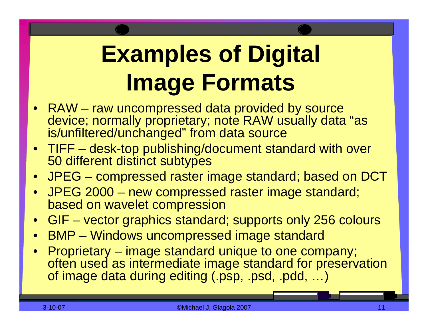# **Examples of Digital Image Formats**

- RAW raw uncompressed data provided by source device; normally proprietary; note RAW usually data "as is/unfiltered/unchanged" from data source
- TIFF desk-top publishing/document standard with over 50 different distinct subtypes
- JPEG compressed raster image standard; based on DCT
- JPEG 2000 new compressed raster image standard; based on wavelet compression
- GIF vector graphics standard; supports only 256 colours
- BMP Windows uncompressed image standard
- Proprietary image standard unique to one company; often used as intermediate image standard for preservation of image data during editing (.psp, .psd, .pdd, …)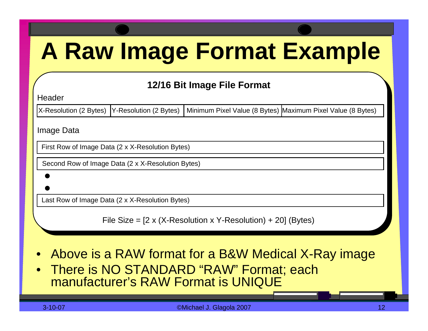## **A Raw Image Format Example**

#### **12/16 Bit Image File Format**

**Header** 

X-Resolution (2 Bytes) Y-Resolution (2 Bytes) | Minimum Pixel Value (8 Bytes) Maximum Pixel Value (8 Bytes)

Image Data

First Row of Image Data (2 x X-Resolution Bytes)

Second Row of Image Data (2 x X-Resolution Bytes)

Last Row of Image Data (2 x X-Resolution Bytes)

File Size =  $[2 \times (X\text{-Resolution} \times Y\text{-Resolution}) + 20]$  (Bytes)

- $\bullet$ Above is a RAW format for a B&W Medical X-Ray image
- $\bullet$ There is NO STANDARD "RAW" Format; each manufacturer's RAW Format is UNIQUE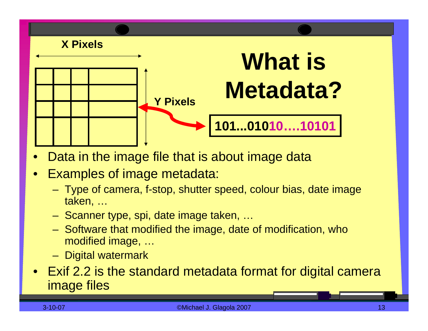

- •Data in the image file that is about image data
- •Examples of image metadata:
	- Type of camera, f-stop, shutter speed, colour bias, date image taken, …
	- Scanner type, spi, date image taken, …
	- Software that modified the image, date of modification, who modified image, …
	- Digital watermark
- Exif 2.2 is the standard metadata format for digital camera image files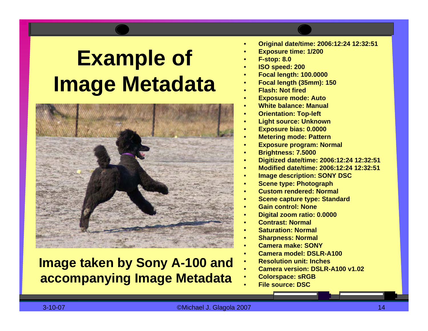### **Example of Image Metadata**



#### **Image taken by Sony A-100 and accompanying Image Metadata**

- •**Original d ate/time: 2006:12:24 12:32:51**
- •**Exp osure time: 1/200**
- •**F-stop: 8.0**
- •**ISO speed: 200**
- •**F ocal len gth: 100.0000**
- •**F ocal len gth (35mm): 150**
- •**Flash: Not fired**
- •**Exposure mode: Aut o**
- •**White balance: Manual**
- •**Orientation: Top-left**
- •**Li g ht source: Unkno wn**
- •**Exp osure bias: 0.0000**
- •**Metering mode: Pattern**
- •**Exposure program: Normal**
- •**Brightnes s: 7.5000**
- •**Di gitiz e d d ate/time: 2006:12:24 12:32:51**
- •**Modified date/time: 2006:12:24 12:32:51**
- •**Image des cription: SONY DSC**
- •**Scene typ e: Photo graph**
- •**Custom rendered: Normal**
- •**Scene capture type: Standard**
- •**Gain control: None**
- •**Digital z oom ratio: 0.0000**
- •**Contrast: Normal**
- •**Saturation: Normal**
- •**Sharp ness: Normal**
- •**Camera make: SONY**
- •**Camera model: DSLR-A100**
- •**Resoluti on unit: Inches**
- •**Camera version: DSLR-A100 v1.02**
- •**Col orspace: sRGB**
- •**File source: DSC**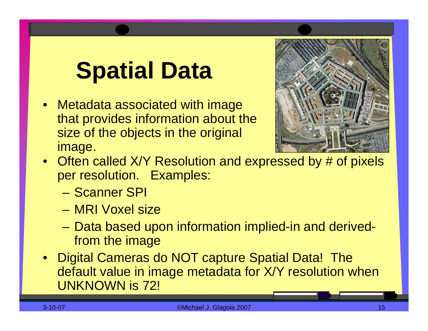## **Spatial Data**

• Metadata associated with image that provides information about the size of the objects in the original image.



- Often called X/Y Resolution and expressed by # of pixels per resolution. Examples:
	- Scanner SPI
	- –MRI Voxel size
	- Data based upon information implied-in and derivedfrom the image
- Digital Cameras do NOT capture Spatial Data! The default value in image metadata for X/Y resolution when UNKNOWN is 72!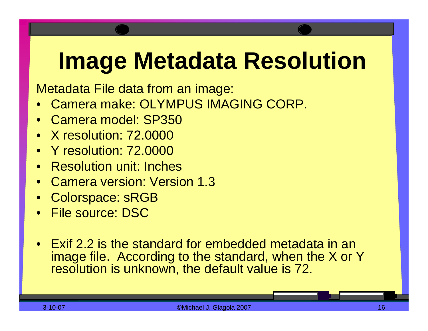## **Image Metadata Resolution**

Metadata File data from an image:

- •Camera make: OLYMPUS IMAGING CORP.
- $\bullet$ Camera model: SP350
- •X resolution: 72.0000
- •Y resolution: 72.0000
- •Resolution unit: Inches
- •Camera version: Version 1.3
- •Colorspace: sRGB
- File source: DSC
- •Exif 2.2 is the standard for embedded metadata in an image file. According to the standard, when the X or Y resolution is unknown, the default value is 72.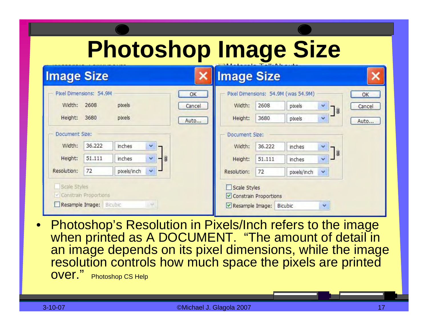## **Photoshop Image Size**

| <b>Image Size</b>             |                       |             |             |        | <b>Image Size</b>                   | TA A A BELIEVE LES TON LOAD BELIEVE |             |                                |        |
|-------------------------------|-----------------------|-------------|-------------|--------|-------------------------------------|-------------------------------------|-------------|--------------------------------|--------|
| Pixel Dimensions: 54.9M       |                       |             |             | OK     | Pixel Dimensions: 54.9M (was 54.9M) |                                     |             |                                | OK     |
| Width:                        | 2608                  | pixels      |             | Cancel | Width:                              | 2608                                | pixels      | ×<br>7 <sub>3</sub>            | Cancel |
| Height:                       | 3680                  | pixels      |             | Auto   | Height:                             | 3680                                | pixels      | $\checkmark$                   | Auto   |
| Document Size:                |                       |             |             |        | Document Size:                      |                                     |             |                                |        |
| Width:                        | 36.222                | inches      | Y           |        | Width:                              | 36.222                              | inches      | ×<br>$\mathbb{I}_{\mathbb{B}}$ |        |
| Height:                       | 51.111                | inches      | Ÿ.<br>$-10$ |        | Height:                             | 51.111                              | inches      | ×                              |        |
| Resolution:                   | 72                    | pixels/inch | ×.<br>▄     |        | Resolution:                         | 72                                  | pixels/inch | $\mathbf{v}$                   |        |
| Scale Styles                  |                       |             |             |        | Scale Styles                        |                                     |             |                                |        |
|                               | Constrain Proportions |             |             |        |                                     | Constrain Proportions               |             |                                |        |
| Resample Image: Bicubic<br>M. |                       |             |             |        | Resample Image:                     |                                     | Bicubic     | v                              |        |

•Photoshop's Resolution in Pixels/Inch refers to the image when printed as A DOCUMENT. "The amount of detail in an image depends on its pixel dimensions, while the image resolution controls how much space the pixels are printed OVer." Photoshop CS Help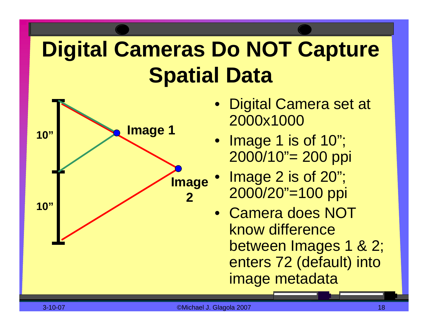### **Digital Cameras Do NOT Capture Spatial Data**



- Digital Camera set at 2000x1000
- Image 1 is of 10"; 2000/10"= 200 ppi
- Image 2 is of 20"; 2000/20"=100 ppi
- Camera does NOT know difference between Images 1 & 2; enters 72 (default) into image metadata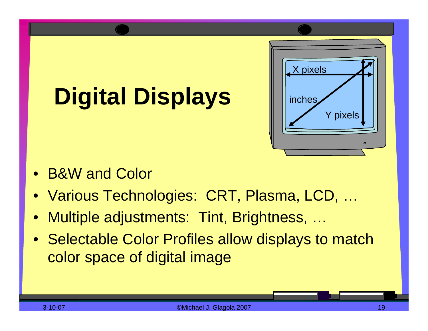# **Digital Displays**



- •B&W and Color
- Various Technologies: CRT, Plasma, LCD, …
- •Multiple adjustments: Tint, Brightness, …
- Selectable Color Profiles allow displays to match color space of digital image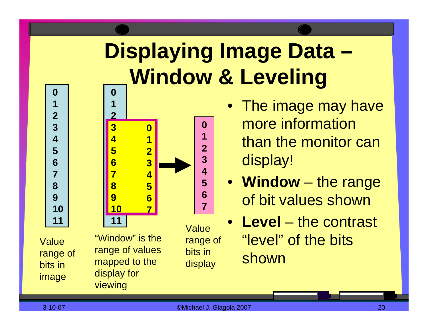### **Displaying Image Data – Window & Leveling 0**



Value range of bits in image

**0**

**1**

**2**

**3 4**

**5 6**

**7**

**8**

**9**

**10**

**11**

range of values mapped to the display for viewing

range of bits in display

- The image may have more information than the monitor can display!
- **Window** –– the range of bit values shown
- **Level** –– the contrast "level" of the bits shown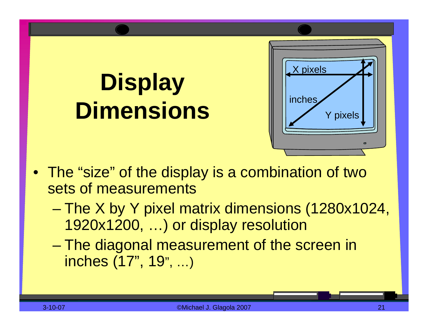## **Display Dimensions**



- The "size" of the display is a combination of two sets of measurements
	- –– The X by Y pixel matrix dimensions (1280x1024, 1920x1200, …) or display resolution
	- – The diagonal measurement of the screen in inches (17", 19", …)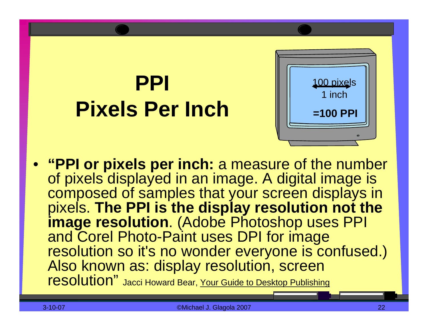### **PPIPixels Per Inch**



• **"PPI or pixels per inch:** a measure of the number of pixels displayed in an image. A digital image is composed of samples that your screen displays in pixels. **The PPI is the display resolution not the image resolution**. (Adobe Photoshop uses PPI and Corel Photo-Paint uses DPI for image resolution so it's no wonder everyone is confused.) Also known as: display resolution, screen resolution" Jacci Howard Bear, Your Guide to Desktop Publishing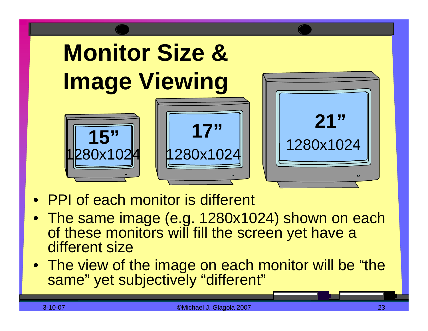

- •PPI of each monitor is different
- The same image (e.g. 1280x1024) shown on each of these monitors will fill the screen yet have a different size
- The view of the image on each monitor will be "the same" yet subjectively "different"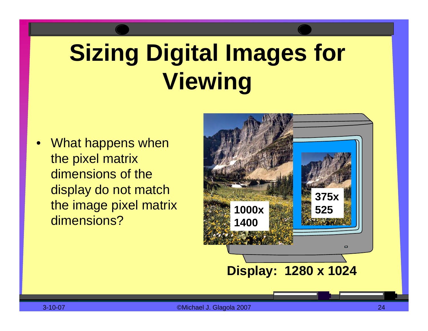# **Sizing Digital Images for Viewing**

•What happens when the pixel matrix dimensions of the display do not match the image pixel matrix dimensions?

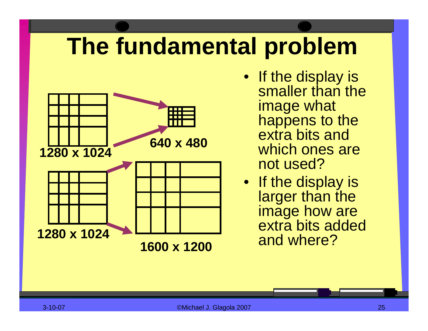## **The fundamental problem**



• If the display is smaller than the image what happens to the extra bits and which ones are not used?

• If the display is larger than the image how are extra bits added and where?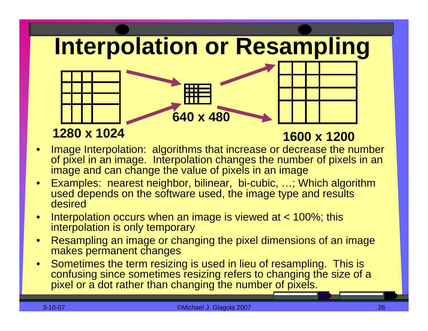**Interpolation or Resampling**

### **1280 x 1024**

#### **1600 x 1200**

• Image Interpolation: algorithms that increase or decrease the number of pixel in an image. Interpolation changes the number of pix els in an image and can change the value of pixels in an image

**640 x 480**

- •Examples: nearest neighbor, bilinear, bi-cubic, …; Which algorithm used depends on the software used, the image type and results desired
- $\bullet$  Interpolation occurs when an image is viewed at < 100%; this interpolation is only temporary
- $\bullet$ Resampling an image or changing the pixel dimensions of an image makes permanent changes
- •Sometimes the term resizing is used in lieu of resampling. This is confusing since sometimes resizing refers to changing the size of a pix el or a dot rather than changing the number of pixels.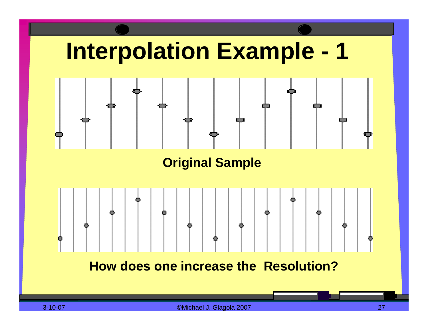

**How does one increase the Resolution?**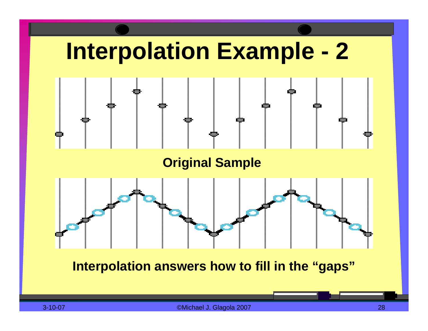

**Interpolation answers how to fill in the "gaps"**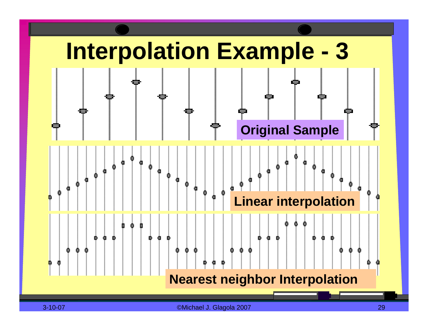

3-10-07 ©Michael J. Glagola 2007 29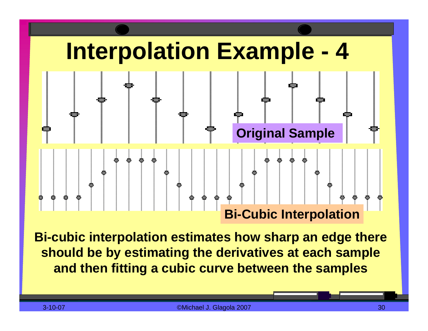

**Bi-cubic interpolation estimates how sharp an edge there should be by estimating the derivatives at each sample and then fitting a cubic curve between the samples**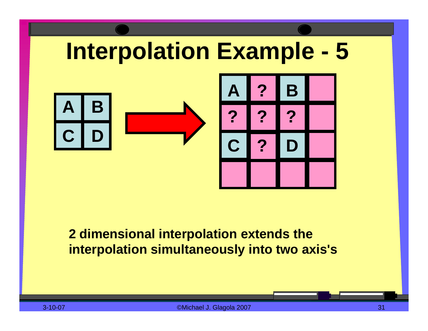

### **2 dimensional interpolation extends the interpolation simultaneously into two axis's**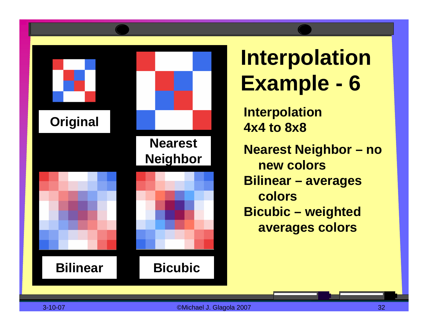

### **Interpolation Example - 6**

**Interpolation 4x4 to 8x8Nearest Neighbor – no new colorsBilinear – averages colorsBicubic – weighted averages colors**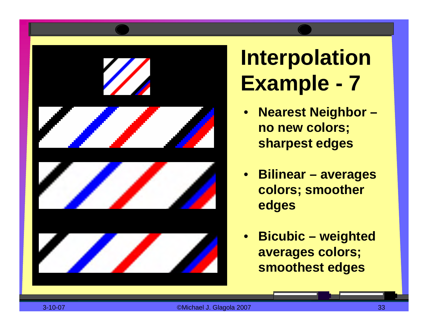

**Interpolation Example - 7**

- $\bullet$  **Nearest Neighbor – no new colors; sharpest edges**
- **Bilinear – averages colors; smoother edges**
- • **Bicubic – weighted averages colors; smoothest edges**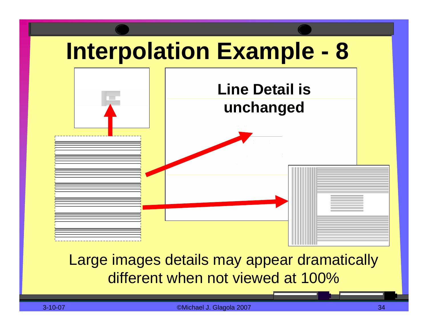

### Large images details may appear dramatically different when not viewed at 100%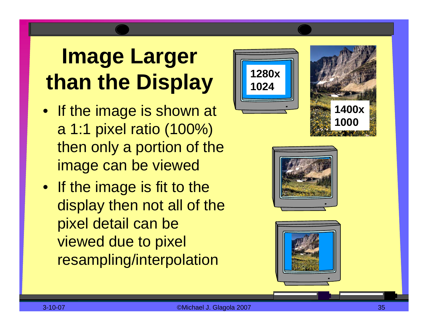### **Image Larger than the Display**

- If the image is shown at a 1:1 pixel ratio (100%) then only a portion of the image can be viewed
- If the image is fit to the display then not all of the pixel detail can be viewed due to pixel resampling/interpolation





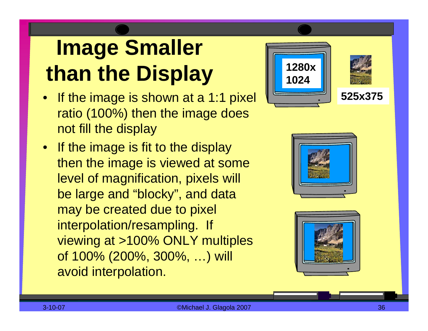## **Image Smaller than the Display**

- If the image is shown at a 1:1 pixel ratio (100%) then the image does not fill the display
- If the image is fit to the display then the image is viewed at some level of magnification, pixels will be large and "blocky", and data may be created due to pixel interpolation/resampling. If viewing at >100% ONLY multiples of 100% (200%, 300%, …) will avoid interpolation.





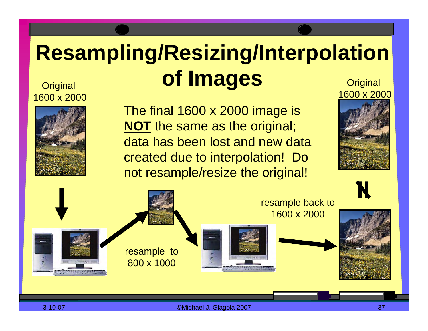### **Resampling/Resizing/Interpolation** Original **of Images Original**

### 1600 x 2000



The final 1600 x 2000 image is **NOT** the same as the original; data has been lost and new data created due to interpolation! Do not resample/resize the original!





3-10-07 ©Michael J. Glagola 2007 37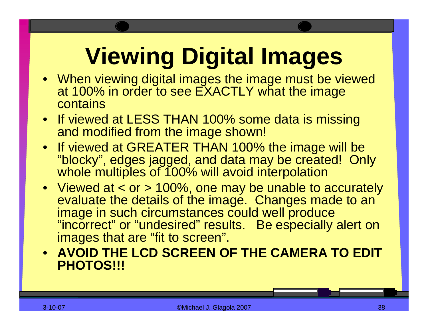# **Viewing Digital Images**

- When viewing digital images the image must be viewed at 100% in order to see EXACTLY what the image contains
- If viewed at LESS THAN 100% some data is missing and modified from the image shown!
- If viewed at GREATER THAN 100% the image will be "blocky", edges jagged, and data may be created! Only whole multiples of 100% will avoid interpolation
- Viewed at < or > 100%, one may be unable to accurately evaluate the details of the image. Changes made to an image in such circumstances could well produce "incorrect" or "undesired" results. Be especially alert on images that are "fit to screen".
- **AVOID THE LCD SCREEN OF THE CAMERA TO EDIT PHOTOS!!!**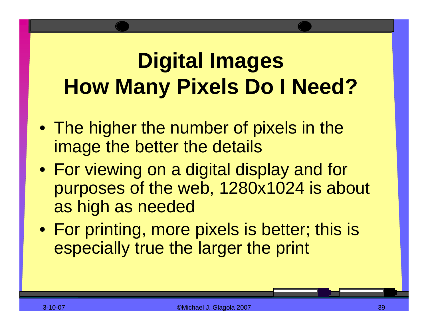### **Digital Images How Many Pixels Do I Need?**

- The higher the number of pixels in the image the better the details
- For viewing on a digital display and for purposes of the web, 1280x1024 is about as high as needed
- For printing, more pixels is better; this is especially true the larger the print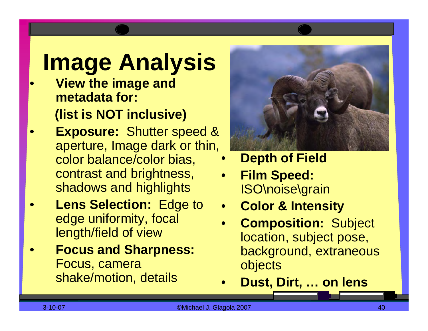## **Image Analysis**

- **View the image and metadata for: (list is NOT inclusive)**
- **Exposure:** Shutter speed & aperture, Image dark or thin, color balance/color bias, contrast and brightness, shadows and highlights
- • **Lens Selection:** Edge to edge uniformity, focal length/field of view
- • **Focus and Sharpness:** Focus, camera shake/motion, details



- •**Depth of Field**
- • **Film Speed:** ISO\noise\grain
- •**Color & Intensity**
- • **Composition:** Subject location, subject pose, background, extraneous objects
- •**Dust, Dirt, … on lens**

•

•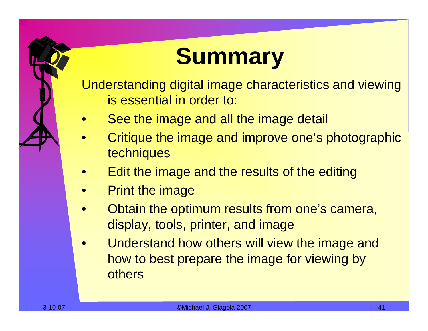## **Summary**

Understanding digital image characteristics and viewing is essential in order to:

- $\bullet$ See the image and all the image detail
- $\bullet$ Critique the image and improve one's photographic techniques
- •Edit the image and the results of the editing
- •Print the image
- •Obtain the optimum results from one's camera, display, tools, printer, and image
- •Understand how others will view the image and how to best prepare the image for viewing by others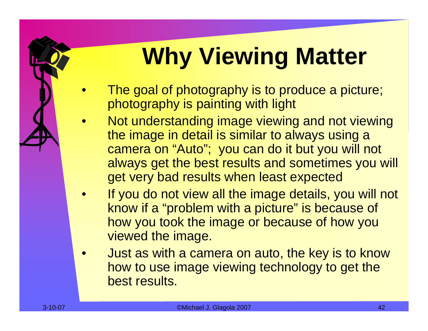# **Why Viewing Matter**

- $\bullet$ The goal of photography is to produce a picture; photography is painting with light
- •Not understanding image viewing and not viewing the image in detail is similar to always using a camera on "Auto"; you can do it but you will not always get the best results and sometimes you will get very bad results when least expected
- • If you do not view all the image details, you will not know if a "problem with a picture" is because of how you took the image or because of how you viewed the image.
- $\bullet$ Just as with a camera on auto, the key is to know how to use image viewing technology to get the best results.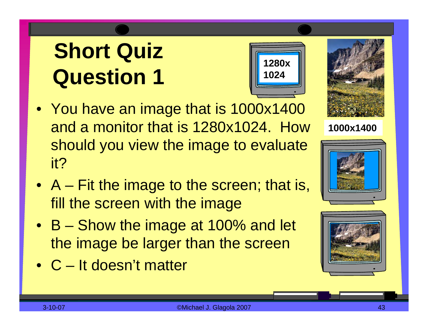- You have an image that is 1000x1400 and a monitor that is 1280x1024. How should you view the image to evaluate it?
- A Fit the image to the screen; that is, fill the screen with the image
- B Show the image at 100% and let the image be larger than the screen
- C It doesn't matter





**1000x1400**





**1280x** 

**1024**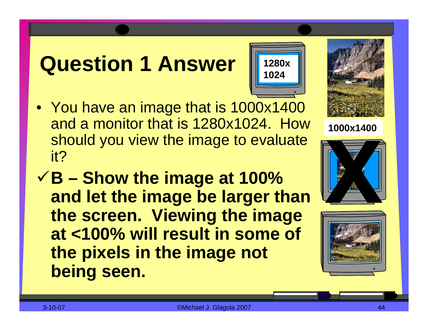### **Question 1 Answer**

- You have an image that is 1000x1400 and a monitor that is 1280x1024. How should you view the image to evaluate it?
- 9**B – Show the image at 100% and let the image be larger than the screen. Viewing the image at <100% will result in some of the pixels in the image not being seen.**



**1280x** 

**1024**





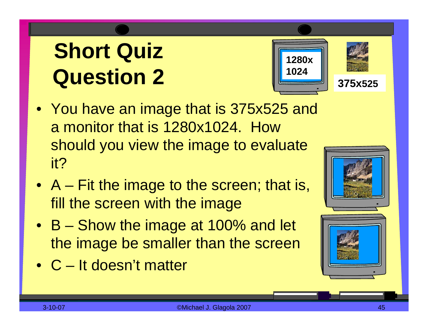



**375x525**

- You have an image that is 375x525 and a monitor that is 1280x1024. How should you view the image to evaluate it?
- A Fit the image to the screen; that is, fill the screen with the image
- B Show the image at 100% and let the image be smaller than the screen
- •C It doesn't matter

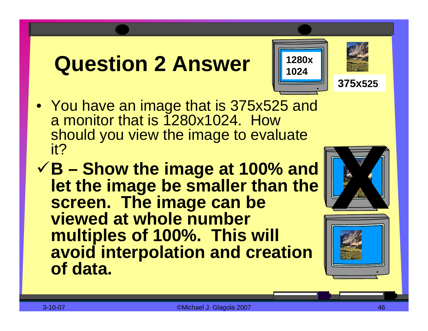### **Question 2 Answer**





**375x525**

• You have an image that is 375x525 and a monitor that is 1280x1024. How should you view the image to evaluate

it?9**B – Show the image at 100% and let the image be smaller than the screen. The image can be viewed at whole number multiples of 100%. This will avoid interpolation and creation of data.**



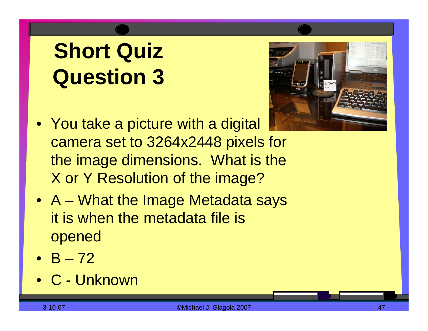

- You take a picture with a digital camera set to 3264x2448 pixels for the image dimensions. What is the X or Y Resolution of the image?
- A What the Image Metadata says it is when the metadata file is opened
- B –72
- •C Unknown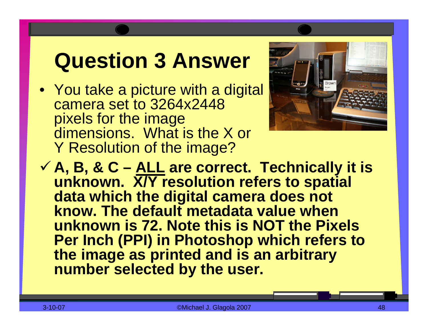### **Question 3 Answer**

• You take a picture with a digital camera set to 3264x2448 pixels for the image dimensions. What is the X or Y Resolution of the image?



**√A, B, & C – <u>ALL</u> are correct. Technically it is unknown. X/Y resolution refers to spatial data which the digital camera does not know. The default metadata value when unknown is 72. Note this is NOT the Pixels Per Inch (PPI) in Photoshop which refers to the image as printed and is an arbitrary number selected by the user.**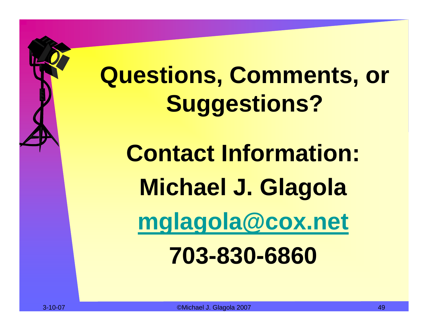# **Questions, Comments, or Suggestions?**

**Contact Information: Michael J. Glagola [mglagola@cox.net](mailto:mglagola@cox.net) 703-830-6860**